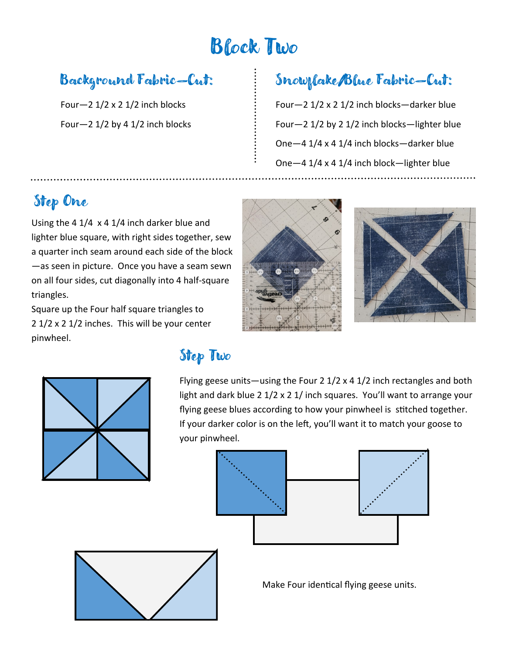# Block Two

#### Background Fabric—Cut:

Four- $2$  1/2 x 2 1/2 inch blocks Four $-2$  1/2 by 4 1/2 inch blocks

### Snowflake/Blue Fabric—Cut:

Four—2 1/2 x 2 1/2 inch blocks—darker blue Four—2 1/2 by 2 1/2 inch blocks—lighter blue One—4 1/4 x 4 1/4 inch blocks—darker blue One—4 1/4 x 4 1/4 inch block—lighter blue

#### Step One

Using the 4 1/4 x 4 1/4 inch darker blue and lighter blue square, with right sides together, sew a quarter inch seam around each side of the block —as seen in picture. Once you have a seam sewn on all four sides, cut diagonally into 4 half-square triangles.

Square up the Four half square triangles to 2 1/2 x 2 1/2 inches. This will be your center pinwheel.

#### Step Two

Flying geese units—using the Four 2 1/2 x 4 1/2 inch rectangles and both light and dark blue 2 1/2 x 2 1/ inch squares. You'll want to arrange your flying geese blues according to how your pinwheel is stitched together. If your darker color is on the left, you'll want it to match your goose to your pinwheel.





Make Four identical flying geese units.